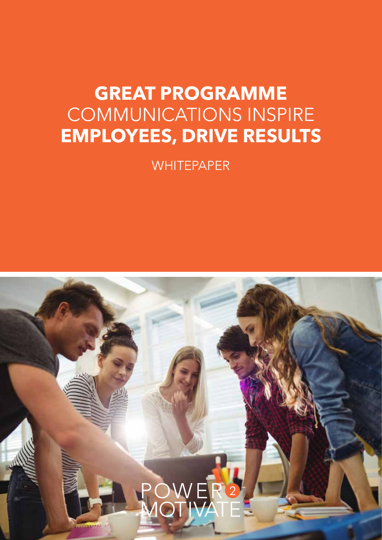## **GREAT PROGRAMME** COMMUNICATIONS INSPIRE **EMPLOYEES, DRIVE RESULTS**

**WHITEPAPER** 

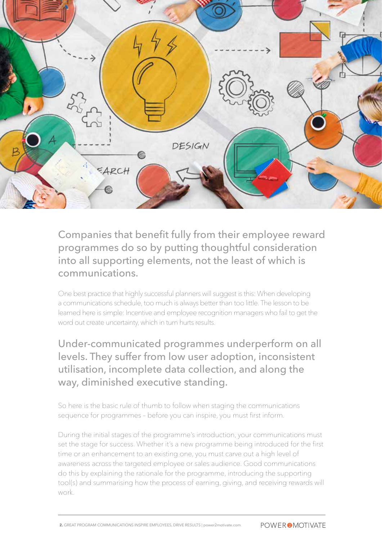

Companies that benefit fully from their employee reward programmes do so by putting thoughtful consideration into all supporting elements, not the least of which is communications.

One best practice that highly successful planners will suggest is this: When developing a communications schedule, too much is always better than too little. The lesson to be learned here is simple: Incentive and employee recognition managers who fail to get the word out create uncertainty, which in turn hurts results.

Under-communicated programmes underperform on all levels. They suffer from low user adoption, inconsistent utilisation, incomplete data collection, and along the way, diminished executive standing.

So here is the basic rule of thumb to follow when staging the communications sequence for programmes – before you can inspire, you must first inform.

During the initial stages of the programme's introduction, your communications must set the stage for success. Whether it's a new programme being introduced for the first time or an enhancement to an existing one, you must carve out a high level of awareness across the targeted employee or sales audience. Good communications do this by explaining the rationale for the programme, introducing the supporting tool(s) and summarising how the process of earning, giving, and receiving rewards will work.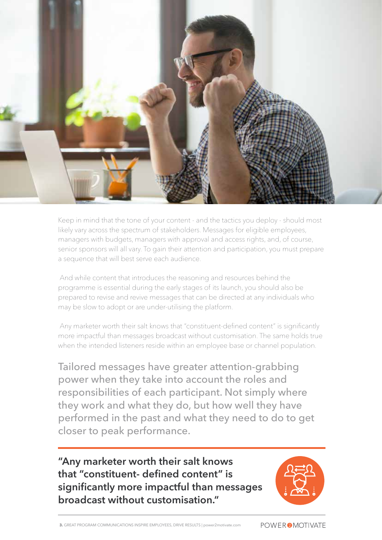

Keep in mind that the tone of your content - and the tactics you deploy - should most likely vary across the spectrum of stakeholders. Messages for eligible employees, managers with budgets, managers with approval and access rights, and, of course, senior sponsors will all vary. To gain their attention and participation, you must prepare a sequence that will best serve each audience.

 And while content that introduces the reasoning and resources behind the programme is essential during the early stages of its launch, you should also be prepared to revise and revive messages that can be directed at any individuals who may be slow to adopt or are under-utilising the platform.

 Any marketer worth their salt knows that "constituent-defined content" is significantly more impactful than messages broadcast without customisation. The same holds true when the intended listeners reside within an employee base or channel population.

Tailored messages have greater attention-grabbing power when they take into account the roles and responsibilities of each participant. Not simply where they work and what they do, but how well they have performed in the past and what they need to do to get closer to peak performance.

**"Any marketer worth their salt knows that "constituent- defined content" is significantly more impactful than messages broadcast without customisation."**

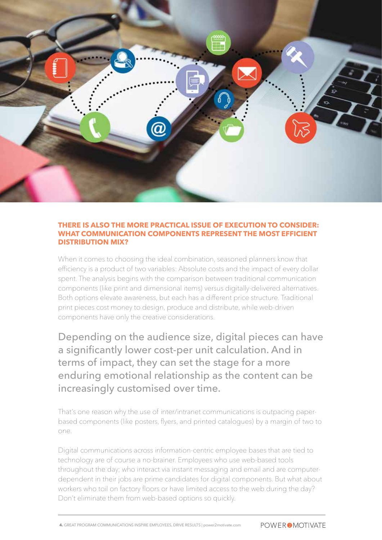

## **THERE IS ALSO THE MORE PRACTICAL ISSUE OF EXECUTION TO CONSIDER: WHAT COMMUNICATION COMPONENTS REPRESENT THE MOST EFFICIENT DISTRIBUTION MIX?**

When it comes to choosing the ideal combination, seasoned planners know that efficiency is a product of two variables: Absolute costs and the impact of every dollar spent. The analysis begins with the comparison between traditional communication components (like print and dimensional items) versus digitally-delivered alternatives. Both options elevate awareness, but each has a different price structure. Traditional print pieces cost money to design, produce and distribute, while web-driven components have only the creative considerations.

Depending on the audience size, digital pieces can have a significantly lower cost-per unit calculation. And in terms of impact, they can set the stage for a more enduring emotional relationship as the content can be increasingly customised over time.

That's one reason why the use of inter/intranet communications is outpacing paperbased components (like posters, flyers, and printed catalogues) by a margin of two to one.

Digital communications across information-centric employee bases that are tied to technology are of course a no-brainer. Employees who use web-based tools throughout the day; who interact via instant messaging and email and are computerdependent in their jobs are prime candidates for digital components. But what about workers who toil on factory floors or have limited access to the web during the day? Don't eliminate them from web-based options so quickly.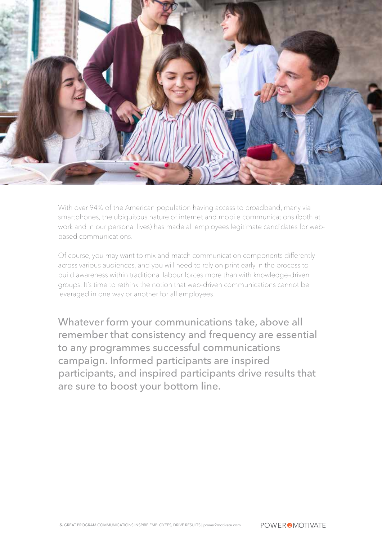

With over 94% of the American population having access to broadband, many via smartphones, the ubiquitous nature of internet and mobile communications (both at work and in our personal lives) has made all employees legitimate candidates for webbased communications.

Of course, you may want to mix and match communication components differently across various audiences, and you will need to rely on print early in the process to build awareness within traditional labour forces more than with knowledge-driven groups. It's time to rethink the notion that web-driven communications cannot be leveraged in one way or another for all employees.

Whatever form your communications take, above all remember that consistency and frequency are essential to any programmes successful communications campaign. Informed participants are inspired participants, and inspired participants drive results that are sure to boost your bottom line.